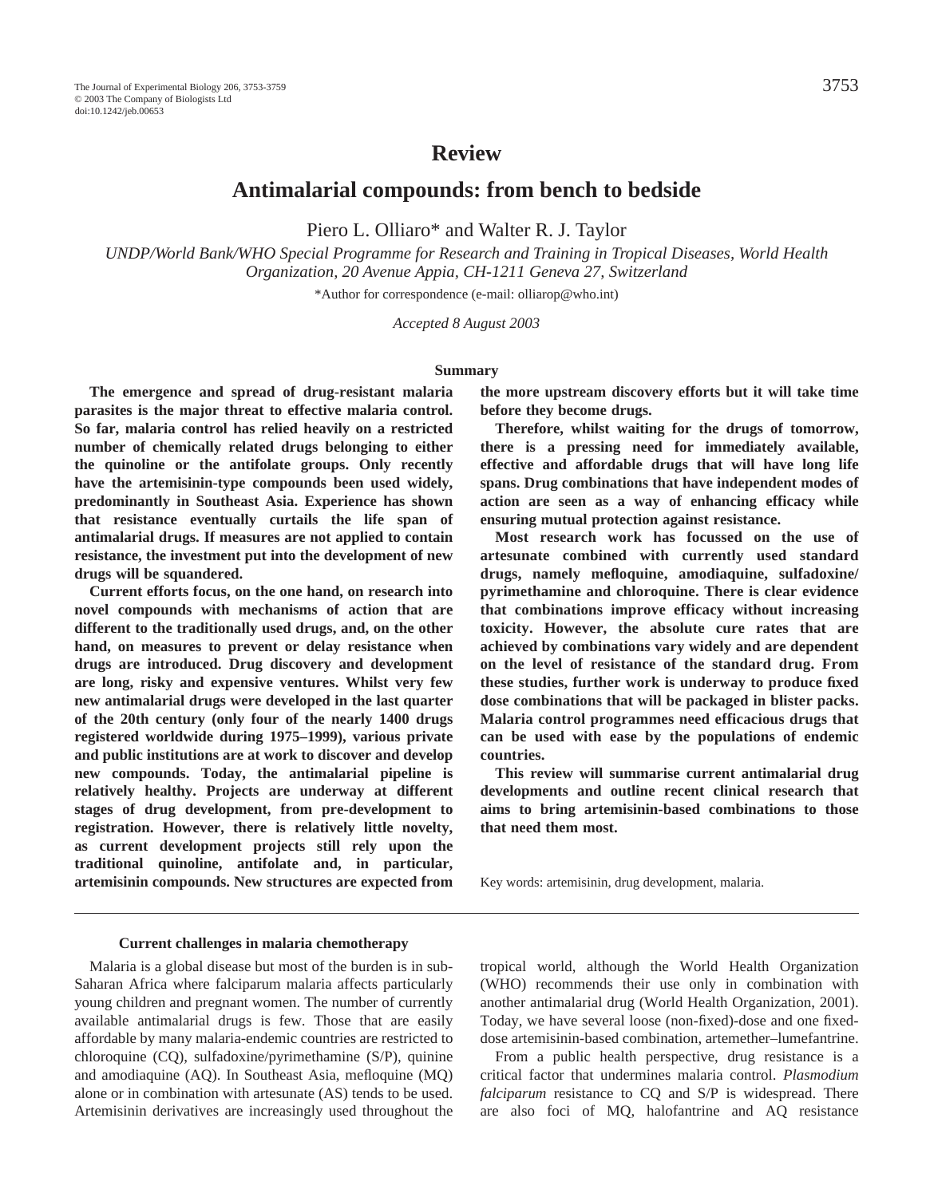# **Review**

**Antimalarial compounds: from bench to bedside**

Piero L. Olliaro\* and Walter R. J. Taylor

*UNDP/World Bank/WHO Special Programme for Research and Training in Tropical Diseases, World Health Organization, 20 Avenue Appia, CH-1211 Geneva 27, Switzerland*

\*Author for correspondence (e-mail: olliarop@who.int)

*Accepted 8 August 2003*

#### **Summary**

**The emergence and spread of drug-resistant malaria parasites is the major threat to effective malaria control. So far, malaria control has relied heavily on a restricted number of chemically related drugs belonging to either the quinoline or the antifolate groups. Only recently have the artemisinin-type compounds been used widely, predominantly in Southeast Asia. Experience has shown that resistance eventually curtails the life span of antimalarial drugs. If measures are not applied to contain resistance, the investment put into the development of new drugs will be squandered.** 

**Current efforts focus, on the one hand, on research into novel compounds with mechanisms of action that are different to the traditionally used drugs, and, on the other hand, on measures to prevent or delay resistance when drugs are introduced. Drug discovery and development are long, risky and expensive ventures. Whilst very few new antimalarial drugs were developed in the last quarter of the 20th century (only four of the nearly 1400 drugs registered worldwide during 1975–1999), various private and public institutions are at work to discover and develop new compounds. Today, the antimalarial pipeline is relatively healthy. Projects are underway at different stages of drug development, from pre-development to registration. However, there is relatively little novelty, as current development projects still rely upon the traditional quinoline, antifolate and, in particular, artemisinin compounds. New structures are expected from** **the more upstream discovery efforts but it will take time before they become drugs.** 

**Therefore, whilst waiting for the drugs of tomorrow, there is a pressing need for immediately available, effective and affordable drugs that will have long life spans. Drug combinations that have independent modes of action are seen as a way of enhancing efficacy while ensuring mutual protection against resistance.** 

**Most research work has focussed on the use of artesunate combined with currently used standard drugs, namely mefloquine, amodiaquine, sulfadoxine/ pyrimethamine and chloroquine. There is clear evidence that combinations improve efficacy without increasing toxicity. However, the absolute cure rates that are achieved by combinations vary widely and are dependent on the level of resistance of the standard drug. From these studies, further work is underway to produce fixed dose combinations that will be packaged in blister packs. Malaria control programmes need efficacious drugs that can be used with ease by the populations of endemic countries.** 

**This review will summarise current antimalarial drug developments and outline recent clinical research that aims to bring artemisinin-based combinations to those that need them most.**

Key words: artemisinin, drug development, malaria.

#### **Current challenges in malaria chemotherapy**

Malaria is a global disease but most of the burden is in sub-Saharan Africa where falciparum malaria affects particularly young children and pregnant women. The number of currently available antimalarial drugs is few. Those that are easily affordable by many malaria-endemic countries are restricted to chloroquine (CQ), sulfadoxine/pyrimethamine (S/P), quinine and amodiaquine (AQ). In Southeast Asia, mefloquine (MQ) alone or in combination with artesunate (AS) tends to be used. Artemisinin derivatives are increasingly used throughout the

tropical world, although the World Health Organization (WHO) recommends their use only in combination with another antimalarial drug (World Health Organization, 2001). Today, we have several loose (non-fixed)-dose and one fixeddose artemisinin-based combination, artemether–lumefantrine.

From a public health perspective, drug resistance is a critical factor that undermines malaria control. *Plasmodium falciparum* resistance to CQ and S/P is widespread. There are also foci of MQ, halofantrine and AQ resistance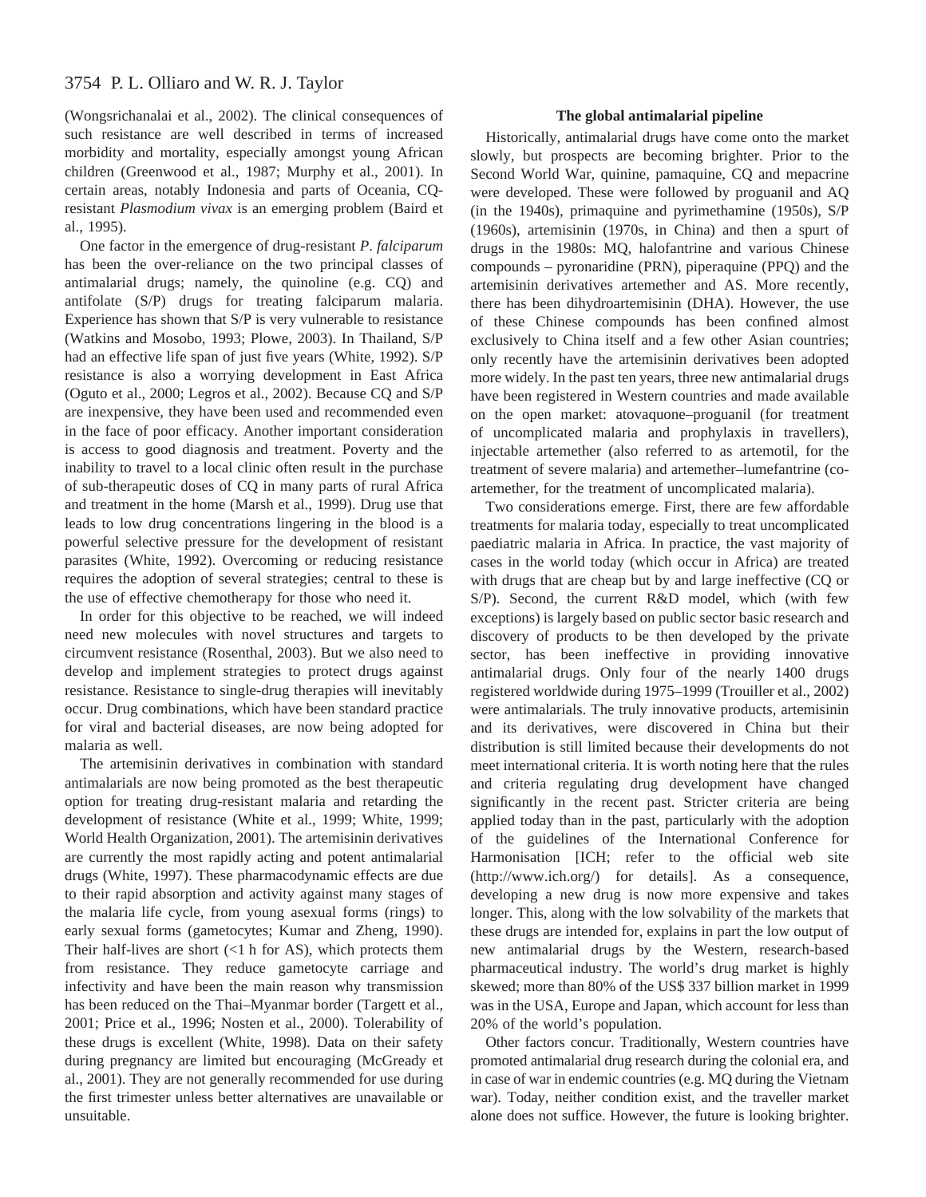# 3754 P. L. Olliaro and W. R. J. Taylor

(Wongsrichanalai et al., 2002). The clinical consequences of such resistance are well described in terms of increased morbidity and mortality, especially amongst young African children (Greenwood et al., 1987; Murphy et al., 2001). In certain areas, notably Indonesia and parts of Oceania, CQresistant *Plasmodium vivax* is an emerging problem (Baird et al., 1995).

One factor in the emergence of drug-resistant *P*. *falciparum* has been the over-reliance on the two principal classes of antimalarial drugs; namely, the quinoline (e.g. CQ) and antifolate (S/P) drugs for treating falciparum malaria. Experience has shown that S/P is very vulnerable to resistance (Watkins and Mosobo, 1993; Plowe, 2003). In Thailand, S/P had an effective life span of just five years (White, 1992). S/P resistance is also a worrying development in East Africa (Oguto et al., 2000; Legros et al., 2002). Because CQ and S/P are inexpensive, they have been used and recommended even in the face of poor efficacy. Another important consideration is access to good diagnosis and treatment. Poverty and the inability to travel to a local clinic often result in the purchase of sub-therapeutic doses of CQ in many parts of rural Africa and treatment in the home (Marsh et al., 1999). Drug use that leads to low drug concentrations lingering in the blood is a powerful selective pressure for the development of resistant parasites (White, 1992). Overcoming or reducing resistance requires the adoption of several strategies; central to these is the use of effective chemotherapy for those who need it.

In order for this objective to be reached, we will indeed need new molecules with novel structures and targets to circumvent resistance (Rosenthal, 2003). But we also need to develop and implement strategies to protect drugs against resistance. Resistance to single-drug therapies will inevitably occur. Drug combinations, which have been standard practice for viral and bacterial diseases, are now being adopted for malaria as well.

The artemisinin derivatives in combination with standard antimalarials are now being promoted as the best therapeutic option for treating drug-resistant malaria and retarding the development of resistance (White et al., 1999; White, 1999; World Health Organization, 2001). The artemisinin derivatives are currently the most rapidly acting and potent antimalarial drugs (White, 1997). These pharmacodynamic effects are due to their rapid absorption and activity against many stages of the malaria life cycle, from young asexual forms (rings) to early sexual forms (gametocytes; Kumar and Zheng, 1990). Their half-lives are short  $\left(\langle 1 \rangle \right)$  for AS), which protects them from resistance. They reduce gametocyte carriage and infectivity and have been the main reason why transmission has been reduced on the Thai–Myanmar border (Targett et al., 2001; Price et al., 1996; Nosten et al., 2000). Tolerability of these drugs is excellent (White, 1998). Data on their safety during pregnancy are limited but encouraging (McGready et al., 2001). They are not generally recommended for use during the first trimester unless better alternatives are unavailable or unsuitable.

### **The global antimalarial pipeline**

Historically, antimalarial drugs have come onto the market slowly, but prospects are becoming brighter. Prior to the Second World War, quinine, pamaquine, CQ and mepacrine were developed. These were followed by proguanil and AQ (in the 1940s), primaquine and pyrimethamine (1950s), S/P (1960s), artemisinin (1970s, in China) and then a spurt of drugs in the 1980s: MQ, halofantrine and various Chinese compounds – pyronaridine (PRN), piperaquine (PPQ) and the artemisinin derivatives artemether and AS. More recently, there has been dihydroartemisinin (DHA). However, the use of these Chinese compounds has been confined almost exclusively to China itself and a few other Asian countries; only recently have the artemisinin derivatives been adopted more widely. In the past ten years, three new antimalarial drugs have been registered in Western countries and made available on the open market: atovaquone–proguanil (for treatment of uncomplicated malaria and prophylaxis in travellers), injectable artemether (also referred to as artemotil, for the treatment of severe malaria) and artemether–lumefantrine (coartemether, for the treatment of uncomplicated malaria).

Two considerations emerge. First, there are few affordable treatments for malaria today, especially to treat uncomplicated paediatric malaria in Africa. In practice, the vast majority of cases in the world today (which occur in Africa) are treated with drugs that are cheap but by and large ineffective (CQ or S/P). Second, the current R&D model, which (with few exceptions) is largely based on public sector basic research and discovery of products to be then developed by the private sector, has been ineffective in providing innovative antimalarial drugs. Only four of the nearly 1400 drugs registered worldwide during 1975–1999 (Trouiller et al., 2002) were antimalarials. The truly innovative products, artemisinin and its derivatives, were discovered in China but their distribution is still limited because their developments do not meet international criteria. It is worth noting here that the rules and criteria regulating drug development have changed significantly in the recent past. Stricter criteria are being applied today than in the past, particularly with the adoption of the guidelines of the International Conference for Harmonisation [ICH; refer to the official web site (http://www.ich.org/) for details]. As a consequence, developing a new drug is now more expensive and takes longer. This, along with the low solvability of the markets that these drugs are intended for, explains in part the low output of new antimalarial drugs by the Western, research-based pharmaceutical industry. The world's drug market is highly skewed; more than 80% of the US\$ 337 billion market in 1999 was in the USA, Europe and Japan, which account for less than 20% of the world's population.

Other factors concur. Traditionally, Western countries have promoted antimalarial drug research during the colonial era, and in case of war in endemic countries (e.g. MQ during the Vietnam war). Today, neither condition exist, and the traveller market alone does not suffice. However, the future is looking brighter.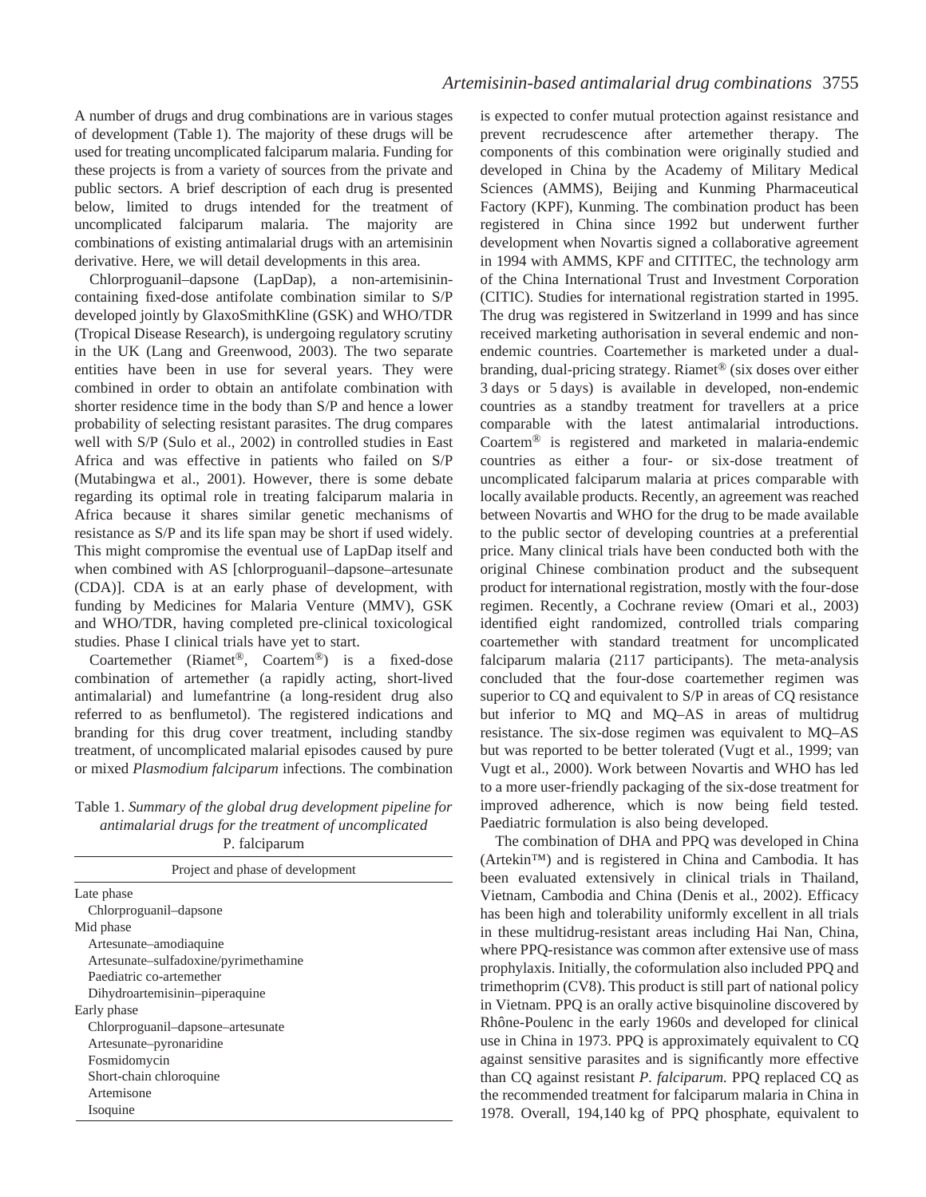A number of drugs and drug combinations are in various stages of development (Table·1). The majority of these drugs will be used for treating uncomplicated falciparum malaria. Funding for these projects is from a variety of sources from the private and public sectors. A brief description of each drug is presented below, limited to drugs intended for the treatment of uncomplicated falciparum malaria. The majority are combinations of existing antimalarial drugs with an artemisinin derivative. Here, we will detail developments in this area.

Chlorproguanil–dapsone (LapDap), a non-artemisinincontaining fixed-dose antifolate combination similar to S/P developed jointly by GlaxoSmithKline (GSK) and WHO/TDR (Tropical Disease Research), is undergoing regulatory scrutiny in the UK (Lang and Greenwood, 2003). The two separate entities have been in use for several years. They were combined in order to obtain an antifolate combination with shorter residence time in the body than S/P and hence a lower probability of selecting resistant parasites. The drug compares well with S/P (Sulo et al., 2002) in controlled studies in East Africa and was effective in patients who failed on S/P (Mutabingwa et al., 2001). However, there is some debate regarding its optimal role in treating falciparum malaria in Africa because it shares similar genetic mechanisms of resistance as S/P and its life span may be short if used widely. This might compromise the eventual use of LapDap itself and when combined with AS [chlorproguanil–dapsone–artesunate (CDA)]. CDA is at an early phase of development, with funding by Medicines for Malaria Venture (MMV), GSK and WHO/TDR, having completed pre-clinical toxicological studies. Phase I clinical trials have yet to start.

Coartemether (Riamet®, Coartem®) is a fixed-dose combination of artemether (a rapidly acting, short-lived antimalarial) and lumefantrine (a long-resident drug also referred to as benflumetol). The registered indications and branding for this drug cover treatment, including standby treatment, of uncomplicated malarial episodes caused by pure or mixed *Plasmodium falciparum* infections. The combination

Table 1. *Summary of the global drug development pipeline for antimalarial drugs for the treatment of uncomplicated*

| P. falciparum                        |  |  |  |  |  |  |
|--------------------------------------|--|--|--|--|--|--|
| Project and phase of development     |  |  |  |  |  |  |
| Late phase                           |  |  |  |  |  |  |
| Chlorproguanil-dapsone               |  |  |  |  |  |  |
| Mid phase                            |  |  |  |  |  |  |
| Artesunate-amodiaquine               |  |  |  |  |  |  |
| Artesunate-sulfadoxine/pyrimethamine |  |  |  |  |  |  |
| Paediatric co-artemether             |  |  |  |  |  |  |
| Dihydroartemisinin-piperaquine       |  |  |  |  |  |  |
| Early phase                          |  |  |  |  |  |  |
| Chlorproguanil-dapsone-artesunate    |  |  |  |  |  |  |
| Artesunate–pyronaridine              |  |  |  |  |  |  |
| Fosmidomycin                         |  |  |  |  |  |  |
| Short-chain chloroquine              |  |  |  |  |  |  |
| Artemisone                           |  |  |  |  |  |  |
| Isoquine                             |  |  |  |  |  |  |

is expected to confer mutual protection against resistance and prevent recrudescence after artemether therapy. The components of this combination were originally studied and developed in China by the Academy of Military Medical Sciences (AMMS), Beijing and Kunming Pharmaceutical Factory (KPF), Kunming. The combination product has been registered in China since 1992 but underwent further development when Novartis signed a collaborative agreement in 1994 with AMMS, KPF and CITITEC, the technology arm of the China International Trust and Investment Corporation (CITIC). Studies for international registration started in 1995. The drug was registered in Switzerland in 1999 and has since received marketing authorisation in several endemic and nonendemic countries. Coartemether is marketed under a dualbranding, dual-pricing strategy. Riamet® (six doses over either 3 days or 5 days) is available in developed, non-endemic countries as a standby treatment for travellers at a price comparable with the latest antimalarial introductions. Coartem® is registered and marketed in malaria-endemic countries as either a four- or six-dose treatment of uncomplicated falciparum malaria at prices comparable with locally available products. Recently, an agreement was reached between Novartis and WHO for the drug to be made available to the public sector of developing countries at a preferential price. Many clinical trials have been conducted both with the original Chinese combination product and the subsequent product for international registration, mostly with the four-dose regimen. Recently, a Cochrane review (Omari et al., 2003) identified eight randomized, controlled trials comparing coartemether with standard treatment for uncomplicated falciparum malaria (2117 participants). The meta-analysis concluded that the four-dose coartemether regimen was superior to CQ and equivalent to S/P in areas of CQ resistance but inferior to MQ and MQ–AS in areas of multidrug resistance. The six-dose regimen was equivalent to MQ–AS but was reported to be better tolerated (Vugt et al., 1999; van Vugt et al., 2000). Work between Novartis and WHO has led to a more user-friendly packaging of the six-dose treatment for improved adherence, which is now being field tested. Paediatric formulation is also being developed.

The combination of DHA and PPQ was developed in China (Artekin™) and is registered in China and Cambodia. It has been evaluated extensively in clinical trials in Thailand, Vietnam, Cambodia and China (Denis et al., 2002). Efficacy has been high and tolerability uniformly excellent in all trials in these multidrug-resistant areas including Hai Nan, China, where PPQ-resistance was common after extensive use of mass prophylaxis. Initially, the coformulation also included PPQ and trimethoprim (CV8). This product is still part of national policy in Vietnam. PPQ is an orally active bisquinoline discovered by Rhône-Poulenc in the early 1960s and developed for clinical use in China in 1973. PPQ is approximately equivalent to CQ against sensitive parasites and is significantly more effective than CQ against resistant *P. falciparum.* PPQ replaced CQ as the recommended treatment for falciparum malaria in China in 1978. Overall, 194,140 kg of PPQ phosphate, equivalent to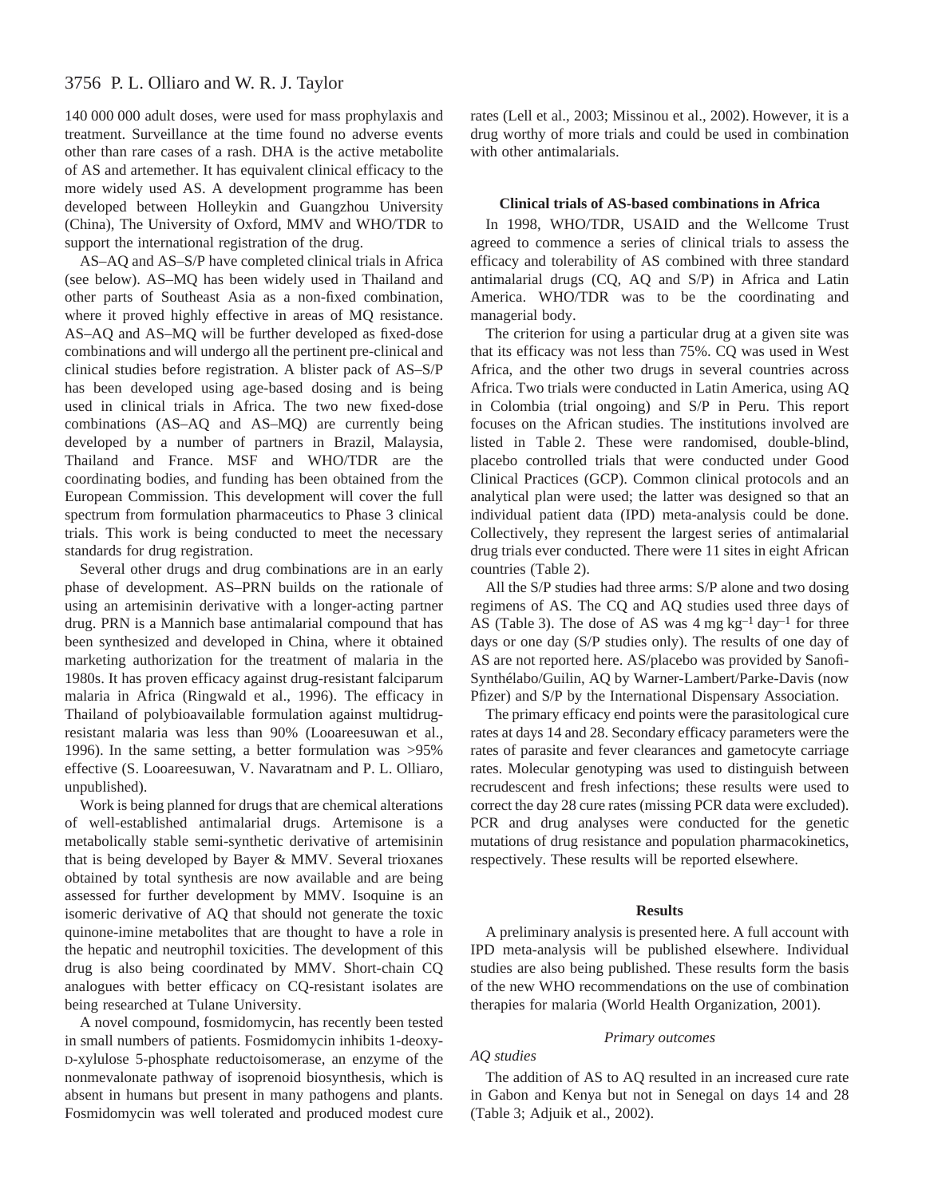# 3756 P. L. Olliaro and W. R. J. Taylor

140 000 000 adult doses, were used for mass prophylaxis and treatment. Surveillance at the time found no adverse events other than rare cases of a rash. DHA is the active metabolite of AS and artemether. It has equivalent clinical efficacy to the more widely used AS. A development programme has been developed between Holleykin and Guangzhou University (China), The University of Oxford, MMV and WHO/TDR to support the international registration of the drug.

AS–AQ and AS–S/P have completed clinical trials in Africa (see below). AS–MQ has been widely used in Thailand and other parts of Southeast Asia as a non-fixed combination, where it proved highly effective in areas of MQ resistance. AS–AQ and AS–MQ will be further developed as fixed-dose combinations and will undergo all the pertinent pre-clinical and clinical studies before registration. A blister pack of AS–S/P has been developed using age-based dosing and is being used in clinical trials in Africa. The two new fixed-dose combinations (AS–AQ and AS–MQ) are currently being developed by a number of partners in Brazil, Malaysia, Thailand and France. MSF and WHO/TDR are the coordinating bodies, and funding has been obtained from the European Commission. This development will cover the full spectrum from formulation pharmaceutics to Phase 3 clinical trials. This work is being conducted to meet the necessary standards for drug registration.

Several other drugs and drug combinations are in an early phase of development. AS–PRN builds on the rationale of using an artemisinin derivative with a longer-acting partner drug. PRN is a Mannich base antimalarial compound that has been synthesized and developed in China, where it obtained marketing authorization for the treatment of malaria in the 1980s. It has proven efficacy against drug-resistant falciparum malaria in Africa (Ringwald et al., 1996). The efficacy in Thailand of polybioavailable formulation against multidrugresistant malaria was less than 90% (Looareesuwan et al., 1996). In the same setting, a better formulation was >95% effective (S. Looareesuwan, V. Navaratnam and P. L. Olliaro, unpublished).

Work is being planned for drugs that are chemical alterations of well-established antimalarial drugs. Artemisone is a metabolically stable semi-synthetic derivative of artemisinin that is being developed by Bayer & MMV. Several trioxanes obtained by total synthesis are now available and are being assessed for further development by MMV. Isoquine is an isomeric derivative of AQ that should not generate the toxic quinone-imine metabolites that are thought to have a role in the hepatic and neutrophil toxicities. The development of this drug is also being coordinated by MMV. Short-chain CQ analogues with better efficacy on CQ-resistant isolates are being researched at Tulane University.

A novel compound, fosmidomycin, has recently been tested in small numbers of patients. Fosmidomycin inhibits 1-deoxy-D-xylulose 5-phosphate reductoisomerase, an enzyme of the nonmevalonate pathway of isoprenoid biosynthesis, which is absent in humans but present in many pathogens and plants. Fosmidomycin was well tolerated and produced modest cure rates (Lell et al., 2003; Missinou et al., 2002). However, it is a drug worthy of more trials and could be used in combination with other antimalarials.

#### **Clinical trials of AS-based combinations in Africa**

In 1998, WHO/TDR, USAID and the Wellcome Trust agreed to commence a series of clinical trials to assess the efficacy and tolerability of AS combined with three standard antimalarial drugs (CQ, AQ and S/P) in Africa and Latin America. WHO/TDR was to be the coordinating and managerial body.

The criterion for using a particular drug at a given site was that its efficacy was not less than 75%. CQ was used in West Africa, and the other two drugs in several countries across Africa. Two trials were conducted in Latin America, using AQ in Colombia (trial ongoing) and S/P in Peru. This report focuses on the African studies. The institutions involved are listed in Table 2. These were randomised, double-blind, placebo controlled trials that were conducted under Good Clinical Practices (GCP). Common clinical protocols and an analytical plan were used; the latter was designed so that an individual patient data (IPD) meta-analysis could be done. Collectively, they represent the largest series of antimalarial drug trials ever conducted. There were 11 sites in eight African countries (Table 2).

All the S/P studies had three arms: S/P alone and two dosing regimens of AS. The CQ and AQ studies used three days of AS (Table 3). The dose of AS was  $4mg\,kg^{-1}\,day^{-1}$  for three days or one day (S/P studies only). The results of one day of AS are not reported here. AS/placebo was provided by Sanofi-Synthélabo/Guilin, AQ by Warner-Lambert/Parke-Davis (now Pfizer) and S/P by the International Dispensary Association.

The primary efficacy end points were the parasitological cure rates at days 14 and 28. Secondary efficacy parameters were the rates of parasite and fever clearances and gametocyte carriage rates. Molecular genotyping was used to distinguish between recrudescent and fresh infections; these results were used to correct the day 28 cure rates (missing PCR data were excluded). PCR and drug analyses were conducted for the genetic mutations of drug resistance and population pharmacokinetics, respectively. These results will be reported elsewhere.

#### **Results**

A preliminary analysis is presented here. A full account with IPD meta-analysis will be published elsewhere. Individual studies are also being published. These results form the basis of the new WHO recommendations on the use of combination therapies for malaria (World Health Organization, 2001).

#### *Primary outcomes*

#### *AQ studies*

The addition of AS to AQ resulted in an increased cure rate in Gabon and Kenya but not in Senegal on days 14 and 28 (Table 3; Adjuik et al., 2002).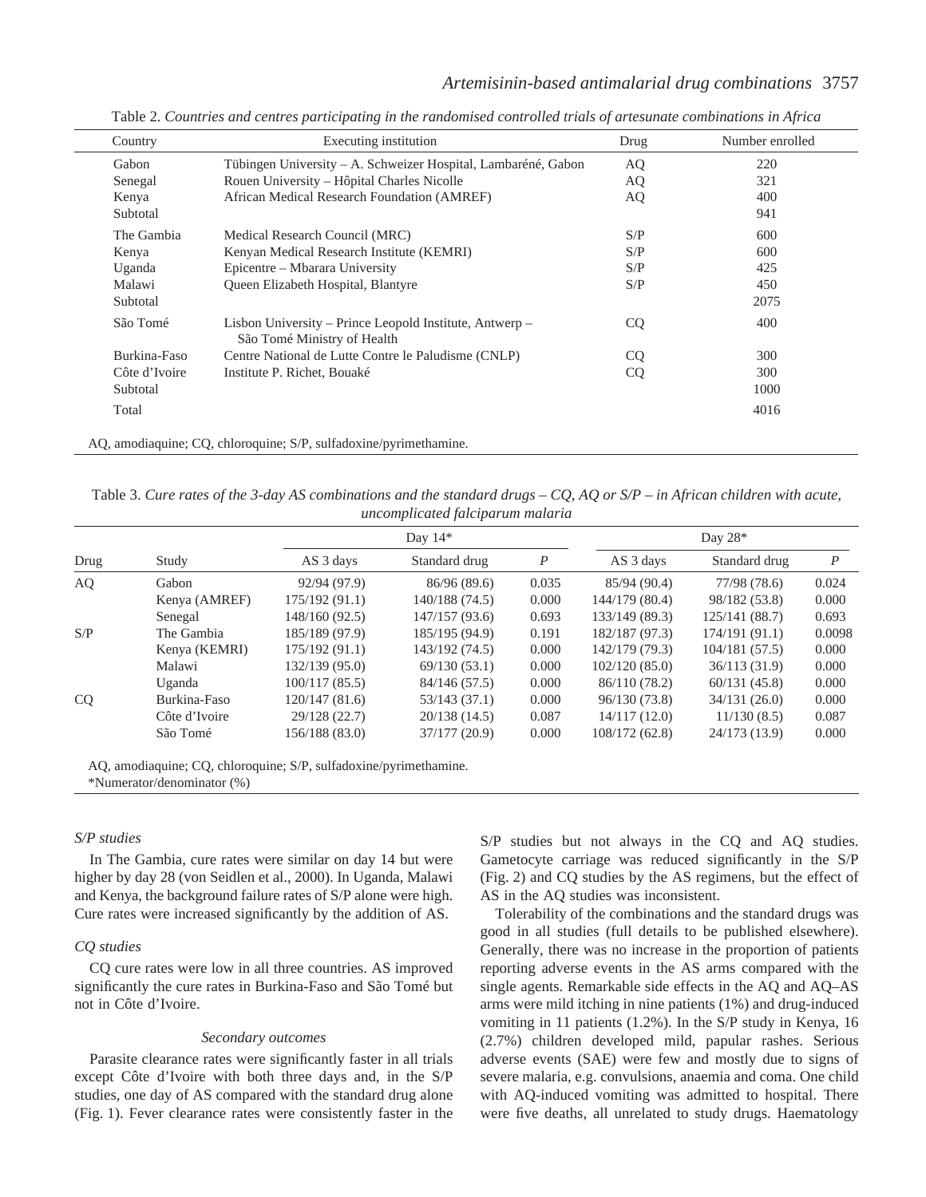# *Artemisinin-based antimalarial drug combinations* 3757

| Country       | Executing institution                                                                  | Drug      | Number enrolled |
|---------------|----------------------------------------------------------------------------------------|-----------|-----------------|
| Gabon         | Tübingen University – A. Schweizer Hospital, Lambaréné, Gabon                          | AQ        | 220             |
| Senegal       | Rouen University – Hôpital Charles Nicolle                                             | AQ        | 321             |
| Kenya         | African Medical Research Foundation (AMREF)                                            | AQ        | 400             |
| Subtotal      |                                                                                        |           | 941             |
| The Gambia    | Medical Research Council (MRC)                                                         | S/P       | 600             |
| Kenya         | Kenyan Medical Research Institute (KEMRI)                                              | S/P       | 600             |
| Uganda        | Epicentre – Mbarara University                                                         | S/P       | 425             |
| Malawi        | Queen Elizabeth Hospital, Blantyre                                                     | S/P       | 450             |
| Subtotal      |                                                                                        |           | 2075            |
| São Tomé      | Lisbon University – Prince Leopold Institute, Antwerp –<br>São Tomé Ministry of Health | <b>CQ</b> | 400             |
| Burkina-Faso  | Centre National de Lutte Contre le Paludisme (CNLP)                                    | <b>CQ</b> | 300             |
| Côte d'Ivoire | Institute P. Richet, Bouaké                                                            | <b>CQ</b> | 300             |
| Subtotal      |                                                                                        |           | 1000            |
| Total         |                                                                                        |           | 4016            |

Table 2. *Countries and centres participating in the randomised controlled trials of artesunate combinations in Africa*

AQ, amodiaquine; CQ, chloroquine; S/P, sulfadoxine/pyrimethamine.

Table 3. *Cure rates of the 3-day AS combinations and the standard drugs – CQ, AQ or S/P – in African children with acute, uncomplicated falciparum malaria*

|               | Day $14*$      |                | Day $28*$        |                |                |                  |
|---------------|----------------|----------------|------------------|----------------|----------------|------------------|
| Study         | AS 3 days      | Standard drug  | $\boldsymbol{P}$ | AS 3 days      | Standard drug  | $\boldsymbol{P}$ |
| Gabon         | 92/94 (97.9)   | 86/96(89.6)    | 0.035            | 85/94 (90.4)   | 77/98 (78.6)   | 0.024            |
| Kenya (AMREF) | 175/192(91.1)  | 140/188 (74.5) | 0.000            | 144/179 (80.4) | 98/182 (53.8)  | 0.000            |
| Senegal       | 148/160 (92.5) | 147/157(93.6)  | 0.693            | 133/149 (89.3) | 125/141 (88.7) | 0.693            |
| The Gambia    | 185/189 (97.9) | 185/195 (94.9) | 0.191            | 182/187 (97.3) | 174/191(91.1)  | 0.0098           |
| Kenya (KEMRI) | 175/192(91.1)  | 143/192 (74.5) | 0.000            | 142/179 (79.3) | 104/181(57.5)  | 0.000            |
| Malawi        | 132/139 (95.0) | 69/130(53.1)   | 0.000            | 102/120(85.0)  | 36/113(31.9)   | 0.000            |
| Uganda        | 100/117(85.5)  | 84/146 (57.5)  | 0.000            | 86/110 (78.2)  | 60/131(45.8)   | 0.000            |
| Burkina-Faso  | 120/147(81.6)  | 53/143(37.1)   | 0.000            | 96/130 (73.8)  | 34/131(26.0)   | 0.000            |
| Côte d'Ivoire | 29/128 (22.7)  | 20/138(14.5)   | 0.087            | 14/117(12.0)   | 11/130(8.5)    | 0.087            |
| São Tomé      | 156/188 (83.0) | 37/177(20.9)   | 0.000            | 108/172 (62.8) | 24/173 (13.9)  | 0.000            |
|               |                |                |                  |                |                |                  |

AQ, amodiaquine; CQ, chloroquine; S/P, sulfadoxine/pyrimethamine.

\*Numerator/denominator (%)

### *S/P studies*

In The Gambia, cure rates were similar on day 14 but were higher by day 28 (von Seidlen et al., 2000). In Uganda, Malawi and Kenya, the background failure rates of S/P alone were high. Cure rates were increased significantly by the addition of AS.

#### *CQ studies*

CQ cure rates were low in all three countries. AS improved significantly the cure rates in Burkina-Faso and São Tomé but not in Côte d'Ivoire.

#### *Secondary outcomes*

Parasite clearance rates were significantly faster in all trials except Côte d'Ivoire with both three days and, in the S/P studies, one day of AS compared with the standard drug alone (Fig. 1). Fever clearance rates were consistently faster in the S/P studies but not always in the CQ and AQ studies. Gametocyte carriage was reduced significantly in the S/P (Fig. 2) and CO studies by the AS regimens, but the effect of AS in the AQ studies was inconsistent.

Tolerability of the combinations and the standard drugs was good in all studies (full details to be published elsewhere). Generally, there was no increase in the proportion of patients reporting adverse events in the AS arms compared with the single agents. Remarkable side effects in the AQ and AQ–AS arms were mild itching in nine patients (1%) and drug-induced vomiting in 11 patients (1.2%). In the S/P study in Kenya, 16 (2.7%) children developed mild, papular rashes. Serious adverse events (SAE) were few and mostly due to signs of severe malaria, e.g. convulsions, anaemia and coma. One child with AQ-induced vomiting was admitted to hospital. There were five deaths, all unrelated to study drugs. Haematology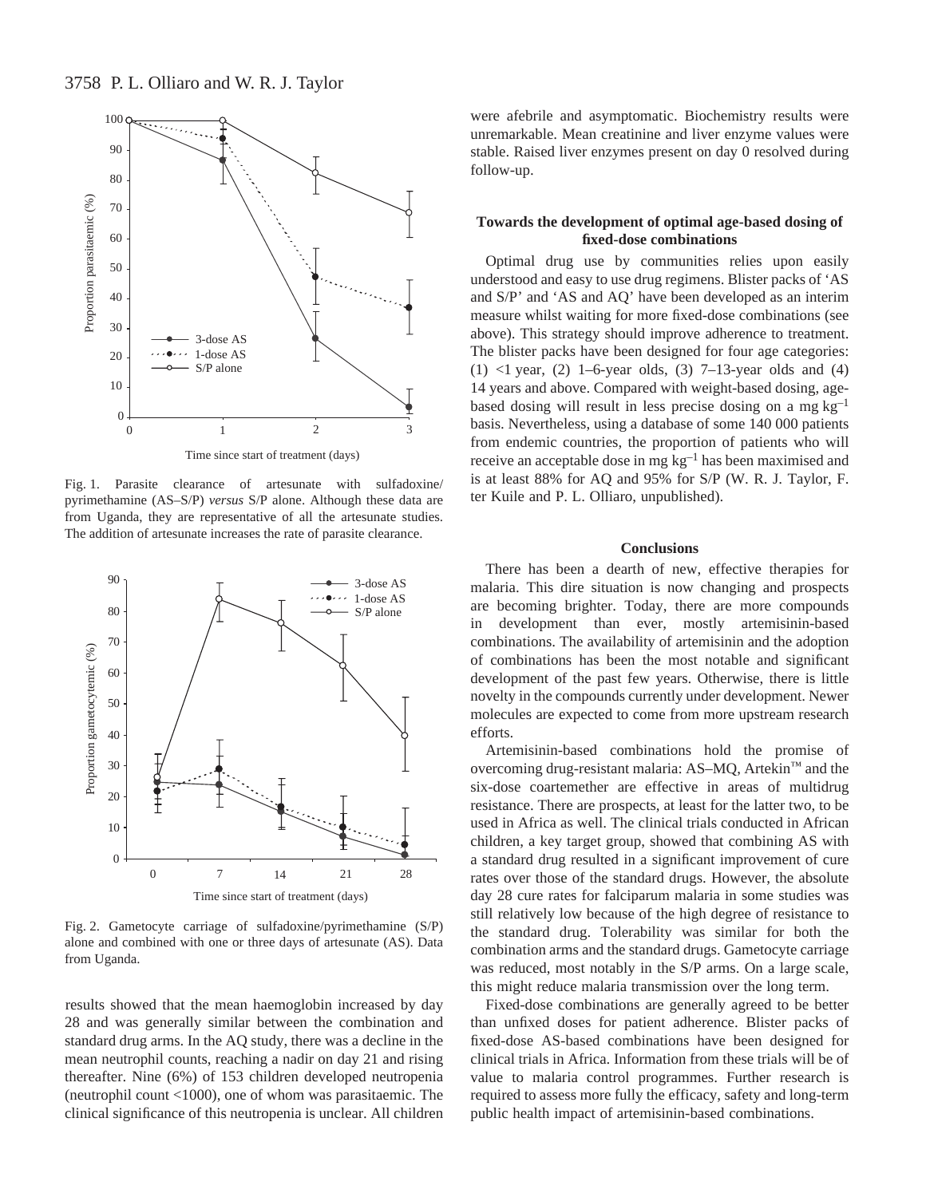

Fig. 1. Parasite clearance of artesunate with sulfadoxine/ pyrimethamine (AS–S/P) *versus* S/P alone. Although these data are from Uganda, they are representative of all the artesunate studies. The addition of artesunate increases the rate of parasite clearance.



Fig. 2. Gametocyte carriage of sulfadoxine/pyrimethamine  $(S/P)$ alone and combined with one or three days of artesunate (AS). Data from Uganda.

results showed that the mean haemoglobin increased by day 28 and was generally similar between the combination and standard drug arms. In the AQ study, there was a decline in the mean neutrophil counts, reaching a nadir on day 21 and rising thereafter. Nine (6%) of 153 children developed neutropenia (neutrophil count <1000), one of whom was parasitaemic. The clinical significance of this neutropenia is unclear. All children

were afebrile and asymptomatic. Biochemistry results were unremarkable. Mean creatinine and liver enzyme values were stable. Raised liver enzymes present on day 0 resolved during follow-up.

# **Towards the development of optimal age-based dosing of fixed-dose combinations**

Optimal drug use by communities relies upon easily understood and easy to use drug regimens. Blister packs of 'AS and S/P' and 'AS and AQ' have been developed as an interim measure whilst waiting for more fixed-dose combinations (see above). This strategy should improve adherence to treatment. The blister packs have been designed for four age categories: (1)  $\langle$ 1 year, (2) 1–6-year olds, (3) 7–13-year olds and (4) 14 years and above. Compared with weight-based dosing, agebased dosing will result in less precise dosing on a mg  $kg^{-1}$ basis. Nevertheless, using a database of some 140 000 patients from endemic countries, the proportion of patients who will receive an acceptable dose in mg kg<sup>-1</sup> has been maximised and is at least 88% for AQ and 95% for S/P (W. R. J. Taylor, F. ter Kuile and P. L. Olliaro, unpublished).

# **Conclusions**

There has been a dearth of new, effective therapies for malaria. This dire situation is now changing and prospects are becoming brighter. Today, there are more compounds in development than ever, mostly artemisinin-based combinations. The availability of artemisinin and the adoption of combinations has been the most notable and significant development of the past few years. Otherwise, there is little novelty in the compounds currently under development. Newer molecules are expected to come from more upstream research efforts.

Artemisinin-based combinations hold the promise of overcoming drug-resistant malaria: AS–MQ, Artekin™ and the six-dose coartemether are effective in areas of multidrug resistance. There are prospects, at least for the latter two, to be used in Africa as well. The clinical trials conducted in African children, a key target group, showed that combining AS with a standard drug resulted in a significant improvement of cure rates over those of the standard drugs. However, the absolute day 28 cure rates for falciparum malaria in some studies was still relatively low because of the high degree of resistance to the standard drug. Tolerability was similar for both the combination arms and the standard drugs. Gametocyte carriage was reduced, most notably in the S/P arms. On a large scale, this might reduce malaria transmission over the long term.

Fixed-dose combinations are generally agreed to be better than unfixed doses for patient adherence. Blister packs of fixed-dose AS-based combinations have been designed for clinical trials in Africa. Information from these trials will be of value to malaria control programmes. Further research is required to assess more fully the efficacy, safety and long-term public health impact of artemisinin-based combinations.